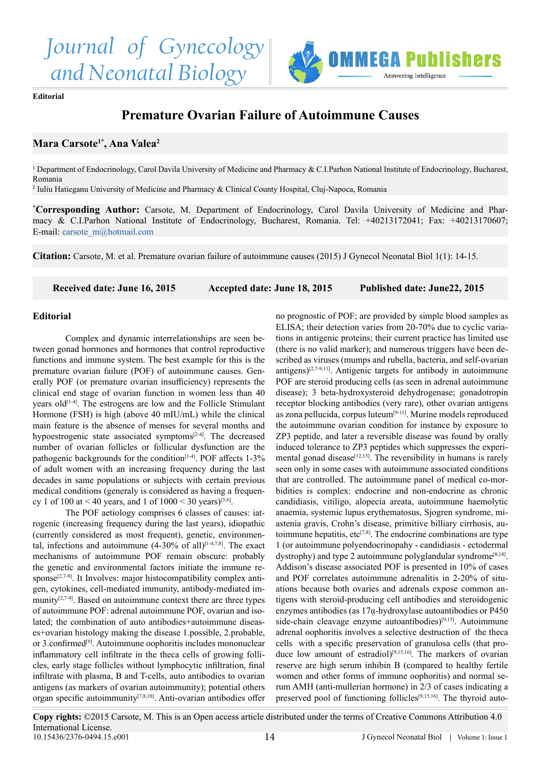



**Editorial**

## **Premature Ovarian Failure of Autoimmune Causes**

## **Mara Carsote1\*, Ana Valea2**

<sup>1</sup> Department of Endocrinology, Carol Davila University of Medicine and Pharmacy & C.I.Parhon National Institute of Endocrinology, Bucharest, Romania

2 Iuliu Hatieganu University of Medicine and Pharmacy & Clinical County Hospital, Cluj-Napoca, Romania

**\* Corresponding Author:** Carsote, M. Department of Endocrinology, Carol Davila University of Medicine and Pharmacy & C.I.Parhon National Institute of Endocrinology, Bucharest, Romania. Tel: +40213172041; Fax: +40213170607; E-mail: [carsote\\_m@hotmail.com](mailto:carsote_m%40hotmail.com?subject=)

**Citation:** Carsote, M. et al. Premature ovarian failure of autoimmune causes (2015) J Gynecol Neonatal Biol 1(1): 14-15.

 **Received date: June 16, 2015 Accepted date: June 18, 2015 Published date: June22, 2015**

## **Editorial**

Complex and dynamic interrelationships are seen between gonad hormones and hormones that control reproductive functions and immune system. The best example for this is the premature ovarian failure (POF) of autoimmune causes. Generally POF (or premature ovarian insufficiency) represents the clinical end stage of ovarian function in women less than 40 years old $[1-4]$ . The estrogens are low and the Follicle Stimulant Hormone (FSH) is high (above 40 mIU/mL) while the clinical main feature is the absence of menses for several months and hypoestrogenic state associated symptoms<sup>[\[2-4\]](#page-1-1)</sup>. The decreased number of ovarian follicles or follicular dysfunction are the pathogenic backgrounds for the condition<sup>[1-4]</sup>. POF affects 1-3% of adult women with an increasing frequency during the last decades in same populations or subjects with certain previous medical conditions (generaly is considered as having a frequency 1 of 100 at < 40 years, and 1 of  $1000 < 30$  years)<sup>[5,6]</sup>.

The POF aetiology comprises 6 classes of causes: iatrogenic (increasing frequency during the last years), idiopathic (currently considered as most frequent), genetic, environmental, infections and autoimmune  $(4-30\% \text{ of all})^{[1-4,7,8]}$ . The exact mechanisms of autoimmune POF remain obscure: probably the genetic and environmental factors initiate the immune response<sup>[2,7-9]</sup>. It Involves: major histocompatibility complex antigen, cytokines, cell-mediated immunity, antibody-mediated immunity $[2,7-9]$ . Based on autoimmune context there are three types of autoimmune POF: adrenal autoimmune POF, ovarian and isolated; the combination of auto antibodies+autoimmune diseases+ovarian histology making the disease 1.possible, 2.probable, or 3.confirmed<sup>[9]</sup>. Autoimmune oophoritis includes mononuclear inflammatory cell infiltrate in the theca cells of growing follicles, early stage follicles without lymphocytic infiltration, final infiltrate with plasma, B and T-cells, auto antibodies to ovarian antigens (as markers of ovarian autoimmunity); potential others organ specific autoimmunity[\[7,8,10\]](#page-1-4). Anti-ovarian antibodies offer no prognostic of POF; are provided by simple blood samples as ELISA; their detection varies from 20-70% due to cyclic variations in antigenic proteins; their current practice has limited use (there is no valid marker); and numerous triggers have been described as viruses (mumps and rubella, bacteria, and self-ovarian antigens)<sup>[2,7-9,11]</sup>. Antigenic targets for antibody in autoimmune POF are steroid producing cells (as seen in adrenal autoimmune disease); 3 beta-hydroxysteroid dehydrogenase; gonadotropin receptor blocking antibodies (very rare), other ovarian antigens as zona pellucida, corpus luteum[\[9-11\]](#page-1-3). Murine models reproduced the autoimmune ovarian condition for instance by exposure to ZP3 peptide, and later a reversible disease was found by orally induced tolerance to ZP3 peptides which suppresses the experimental gonad disease<sup>[12,13]</sup>. The reversibility in humans is rarely seen only in some cases with autoimmune associated conditions that are controlled. The autoimmune panel of medical co-morbidities is complex: endocrine and non-endocrine as chronic candidiasis, vitiligo, alopecia areata, autoimmune haemolytic anaemia, systemic lupus erythematosus, Sjogren syndrome, miastenia gravis, Crohn's disease, primitive billiary cirrhosis, autoimmune hepatitis, etc<sup>[7,8]</sup>. The endocrine combinations are type 1 (or autoimmune polyendocrinopahy - candidiasis - ectodermal dystrophy) and type 2 autoimmune polyglandular syndrome<sup>[8,14]</sup>. Addison's disease associated POF is presented in 10% of cases and POF correlates autoimmune adrenalitis in 2-20% of situations because both ovaries and adrenals expose common antigens with steroid-producing cell antibodies and steroidogenic enzymes antibodies (as 17ᾳ-hydroxylase autoantibodies or P450 side-chain cleavage enzyme autoantibodies)<sup>[\[9,15\]](#page-1-3)</sup>. Autoimmune adrenal oophoritis involves a selective destruction of the theca cells with a specific preservation of granulosa cells (that produce low amount of estradiol)<sup>[9,15,16]</sup>. The markers of ovarian reserve are high serum inhibin B (compared to healthy fertile women and other forms of immune oophoritis) and normal serum AMH (anti-mullerian hormone) in 2/3 of cases indicating a preserved pool of functioning follicles<sup>[9,15,16]</sup>. The thyroid auto-

**Copy rights:** ©2015 Carsote, M. This is an Open access article distributed under the terms of Creative Commons Attribution 4.0 International License. 10.15436/2376-0494.15.e001